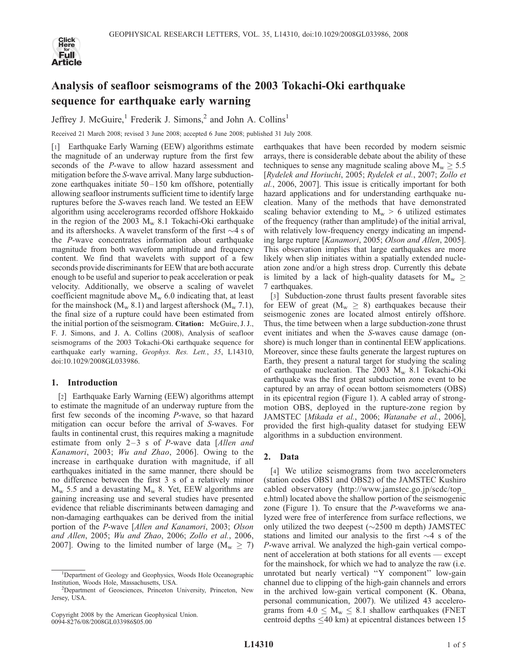

# Analysis of seafloor seismograms of the 2003 Tokachi-Oki earthquake sequence for earthquake early warning

Jeffrey J. McGuire,<sup>1</sup> Frederik J. Simons,<sup>2</sup> and John A. Collins<sup>1</sup>

Received 21 March 2008; revised 3 June 2008; accepted 6 June 2008; published 31 July 2008.

[1] Earthquake Early Warning (EEW) algorithms estimate the magnitude of an underway rupture from the first few seconds of the P-wave to allow hazard assessment and mitigation before the S-wave arrival. Many large subductionzone earthquakes initiate 50– 150 km offshore, potentially allowing seafloor instruments sufficient time to identify large ruptures before the S-waves reach land. We tested an EEW algorithm using accelerograms recorded offshore Hokkaido in the region of the 2003  $M_w$  8.1 Tokachi-Oki earthquake and its aftershocks. A wavelet transform of the first  $\sim$ 4 s of the P-wave concentrates information about earthquake magnitude from both waveform amplitude and frequency content. We find that wavelets with support of a few seconds provide discriminants for EEW that are both accurate enough to be useful and superior to peak acceleration or peak velocity. Additionally, we observe a scaling of wavelet coefficient magnitude above  $M_w$  6.0 indicating that, at least for the mainshock ( $M_{\rm w}$  8.1) and largest aftershock ( $M_{\rm w}$  7.1), the final size of a rupture could have been estimated from the initial portion of the seismogram. Citation: McGuire, J. J., F. J. Simons, and J. A. Collins (2008), Analysis of seafloor seismograms of the 2003 Tokachi-Oki earthquake sequence for earthquake early warning, Geophys. Res. Lett., 35, L14310, doi:10.1029/2008GL033986.

## 1. Introduction

[2] Earthquake Early Warning (EEW) algorithms attempt to estimate the magnitude of an underway rupture from the first few seconds of the incoming P-wave, so that hazard mitigation can occur before the arrival of S-waves. For faults in continental crust, this requires making a magnitude estimate from only  $2-3$  s of P-wave data [Allen and Kanamori, 2003; Wu and Zhao, 2006]. Owing to the increase in earthquake duration with magnitude, if all earthquakes initiated in the same manner, there should be no difference between the first 3 s of a relatively minor  $M_w$  5.5 and a devastating  $M_w$  8. Yet, EEW algorithms are gaining increasing use and several studies have presented evidence that reliable discriminants between damaging and non-damaging earthquakes can be derived from the initial portion of the P-wave [Allen and Kanamori, 2003; Olson and Allen, 2005; Wu and Zhao, 2006; Zollo et al., 2006, 2007]. Owing to the limited number of large ( $M_w \ge 7$ )

Copyright 2008 by the American Geophysical Union. 0094-8276/08/2008GL033986\$05.00

earthquakes that have been recorded by modern seismic arrays, there is considerable debate about the ability of these techniques to sense any magnitude scaling above  $M_w \geq 5.5$ [Rydelek and Horiuchi, 2005; Rydelek et al., 2007; Zollo et al., 2006, 2007]. This issue is critically important for both hazard applications and for understanding earthquake nucleation. Many of the methods that have demonstrated scaling behavior extending to  $M_w > 6$  utilized estimates of the frequency (rather than amplitude) of the initial arrival, with relatively low-frequency energy indicating an impending large rupture [Kanamori, 2005; Olson and Allen, 2005]. This observation implies that large earthquakes are more likely when slip initiates within a spatially extended nucleation zone and/or a high stress drop. Currently this debate is limited by a lack of high-quality datasets for  $M_w \ge$ 7 earthquakes.

[3] Subduction-zone thrust faults present favorable sites for EEW of great ( $M_w \geq 8$ ) earthquakes because their seismogenic zones are located almost entirely offshore. Thus, the time between when a large subduction-zone thrust event initiates and when the S-waves cause damage (onshore) is much longer than in continental EEW applications. Moreover, since these faults generate the largest ruptures on Earth, they present a natural target for studying the scaling of earthquake nucleation. The 2003  $M_{\rm w}$  8.1 Tokachi-Oki earthquake was the first great subduction zone event to be captured by an array of ocean bottom seismometers (OBS) in its epicentral region (Figure 1). A cabled array of strongmotion OBS, deployed in the rupture-zone region by JAMSTEC [Mikada et al., 2006; Watanabe et al., 2006], provided the first high-quality dataset for studying EEW algorithms in a subduction environment.

## 2. Data

[4] We utilize seismograms from two accelerometers (station codes OBS1 and OBS2) of the JAMSTEC Kushiro cabled observatory (http://www.jamstec.go.jp/scdc/top\_ e.html) located above the shallow portion of the seismogenic zone (Figure 1). To ensure that the P-waveforms we analyzed were free of interference from surface reflections, we only utilized the two deepest  $(\sim 2500 \text{ m depth})$  JAMSTEC stations and limited our analysis to the first  $\sim$ 4 s of the P-wave arrival. We analyzed the high-gain vertical component of acceleration at both stations for all events — except for the mainshock, for which we had to analyze the raw (i.e. unrotated but nearly vertical) ''Y component'' low-gain channel due to clipping of the high-gain channels and errors in the archived low-gain vertical component (K. Obana, personal communication, 2007). We utilized 43 accelerograms from  $4.0 \le M_w \le 8.1$  shallow earthquakes (FNET centroid depths  $\leq$ 40 km) at epicentral distances between 15

<sup>&</sup>lt;sup>1</sup>Department of Geology and Geophysics, Woods Hole Oceanographic Institution, Woods Hole, Massachusetts, USA. <sup>2</sup>

<sup>&</sup>lt;sup>2</sup>Department of Geosciences, Princeton University, Princeton, New Jersey, USA.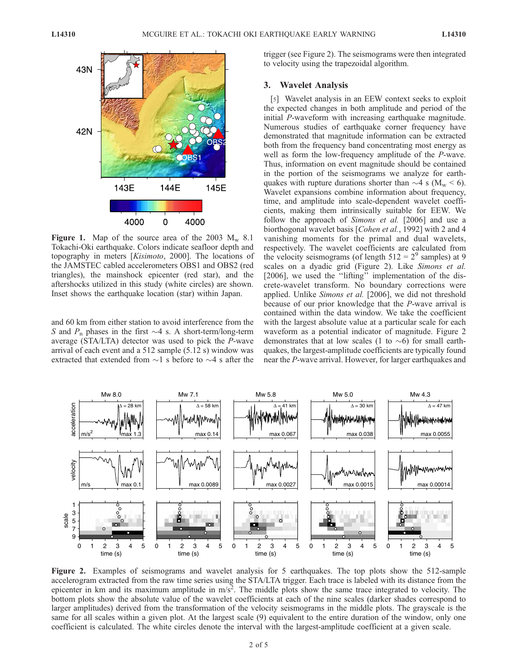

Figure 1. Map of the source area of the 2003  $M_w$  8.1 Tokachi-Oki earthquake. Colors indicate seafloor depth and topography in meters [Kisimoto, 2000]. The locations of the JAMSTEC cabled accelerometers OBS1 and OBS2 (red triangles), the mainshock epicenter (red star), and the aftershocks utilized in this study (white circles) are shown. Inset shows the earthquake location (star) within Japan.

and 60 km from either station to avoid interference from the S and  $P_n$  phases in the first  $\sim$ 4 s. A short-term/long-term average (STA/LTA) detector was used to pick the P-wave arrival of each event and a 512 sample (5.12 s) window was extracted that extended from  $\sim$ 1 s before to  $\sim$ 4 s after the trigger (see Figure 2). The seismograms were then integrated to velocity using the trapezoidal algorithm.

### 3. Wavelet Analysis

[5] Wavelet analysis in an EEW context seeks to exploit the expected changes in both amplitude and period of the initial P-waveform with increasing earthquake magnitude. Numerous studies of earthquake corner frequency have demonstrated that magnitude information can be extracted both from the frequency band concentrating most energy as well as form the low-frequency amplitude of the P-wave. Thus, information on event magnitude should be contained in the portion of the seismograms we analyze for earthquakes with rupture durations shorter than  $\sim$ 4 s (M<sub>w</sub> < 6). Wavelet expansions combine information about frequency, time, and amplitude into scale-dependent wavelet coefficients, making them intrinsically suitable for EEW. We follow the approach of *Simons et al.* [2006] and use a biorthogonal wavelet basis [Cohen et al., 1992] with 2 and 4 vanishing moments for the primal and dual wavelets, respectively. The wavelet coefficients are calculated from the velocity seismograms (of length  $512 = 2<sup>9</sup>$  samples) at 9 scales on a dyadic grid (Figure 2). Like Simons et al. [2006], we used the ''lifting'' implementation of the discrete-wavelet transform. No boundary corrections were applied. Unlike Simons et al. [2006], we did not threshold because of our prior knowledge that the P-wave arrival is contained within the data window. We take the coefficient with the largest absolute value at a particular scale for each waveform as a potential indicator of magnitude. Figure 2 demonstrates that at low scales (1 to  $\sim$ 6) for small earthquakes, the largest-amplitude coefficients are typically found near the P-wave arrival. However, for larger earthquakes and



Figure 2. Examples of seismograms and wavelet analysis for 5 earthquakes. The top plots show the 512-sample accelerogram extracted from the raw time series using the STA/LTA trigger. Each trace is labeled with its distance from the epicenter in km and its maximum amplitude in  $m/s^2$ . The middle plots show the same trace integrated to velocity. The bottom plots show the absolute value of the wavelet coefficients at each of the nine scales (darker shades correspond to larger amplitudes) derived from the transformation of the velocity seismograms in the middle plots. The grayscale is the same for all scales within a given plot. At the largest scale (9) equivalent to the entire duration of the window, only one coefficient is calculated. The white circles denote the interval with the largest-amplitude coefficient at a given scale.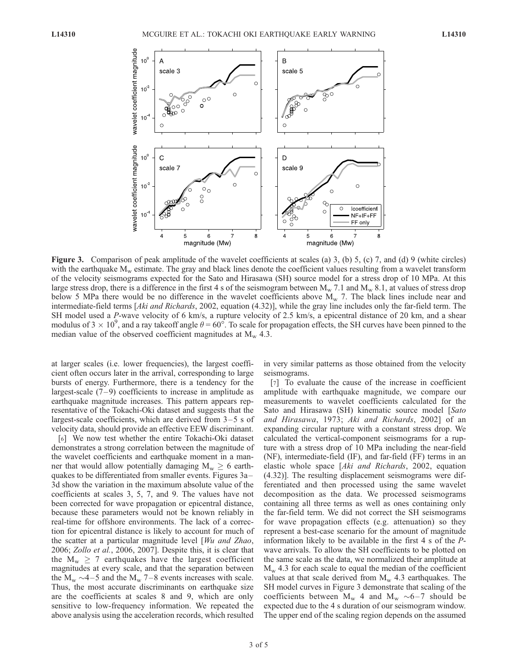

Figure 3. Comparison of peak amplitude of the wavelet coefficients at scales (a) 3, (b) 5, (c) 7, and (d) 9 (white circles) with the earthquake  $M_w$  estimate. The gray and black lines denote the coefficient values resulting from a wavelet transform of the velocity seismograms expected for the Sato and Hirasawa (SH) source model for a stress drop of 10 MPa. At this large stress drop, there is a difference in the first 4 s of the seismogram between  $M_w$  7.1 and  $M_w$  8.1, at values of stress drop below 5 MPa there would be no difference in the wavelet coefficients above  $M_w$  7. The black lines include near and intermediate-field terms [Aki and Richards, 2002, equation (4.32)], while the gray line includes only the far-field term. The SH model used a P-wave velocity of 6 km/s, a rupture velocity of 2.5 km/s, a epicentral distance of 20 km, and a shear modulus of 3  $\times$  10<sup>9</sup>, and a ray takeoff angle  $\theta = 60^{\circ}$ . To scale for propagation effects, the SH curves have been pinned to the median value of the observed coefficient magnitudes at  $M_w$  4.3.

at larger scales (i.e. lower frequencies), the largest coefficient often occurs later in the arrival, corresponding to large bursts of energy. Furthermore, there is a tendency for the largest-scale  $(7-9)$  coefficients to increase in amplitude as earthquake magnitude increases. This pattern appears representative of the Tokachi-Oki dataset and suggests that the largest-scale coefficients, which are derived from  $3-5$  s of velocity data, should provide an effective EEW discriminant.

[6] We now test whether the entire Tokachi-Oki dataset demonstrates a strong correlation between the magnitude of the wavelet coefficients and earthquake moment in a manner that would allow potentially damaging  $M_w \geq 6$  earthquakes to be differentiated from smaller events. Figures 3a – 3d show the variation in the maximum absolute value of the coefficients at scales 3, 5, 7, and 9. The values have not been corrected for wave propagation or epicentral distance, because these parameters would not be known reliably in real-time for offshore environments. The lack of a correction for epicentral distance is likely to account for much of the scatter at a particular magnitude level [Wu and Zhao, 2006; Zollo et al., 2006, 2007]. Despite this, it is clear that the  $M_w \ge 7$  earthquakes have the largest coefficient magnitudes at every scale, and that the separation between the  $M_w \sim 4-5$  and the  $M_w$  7–8 events increases with scale. Thus, the most accurate discriminants on earthquake size are the coefficients at scales 8 and 9, which are only sensitive to low-frequency information. We repeated the above analysis using the acceleration records, which resulted

in very similar patterns as those obtained from the velocity seismograms.

[7] To evaluate the cause of the increase in coefficient amplitude with earthquake magnitude, we compare our measurements to wavelet coefficients calculated for the Sato and Hirasawa (SH) kinematic source model [Sato and Hirasawa, 1973; Aki and Richards, 2002] of an expanding circular rupture with a constant stress drop. We calculated the vertical-component seismograms for a rupture with a stress drop of 10 MPa including the near-field (NF), intermediate-field (IF), and far-field (FF) terms in an elastic whole space [Aki and Richards, 2002, equation (4.32)]. The resulting displacement seismograms were differentiated and then processed using the same wavelet decomposition as the data. We processed seismograms containing all three terms as well as ones containing only the far-field term. We did not correct the SH seismograms for wave propagation effects (e.g. attenuation) so they represent a best-case scenario for the amount of magnitude information likely to be available in the first 4 s of the Pwave arrivals. To allow the SH coefficients to be plotted on the same scale as the data, we normalized their amplitude at  $M_w$  4.3 for each scale to equal the median of the coefficient values at that scale derived from  $M_{w}$  4.3 earthquakes. The SH model curves in Figure 3 demonstrate that scaling of the coefficients between  $M_w$  4 and  $M_w \sim 6-7$  should be expected due to the 4 s duration of our seismogram window. The upper end of the scaling region depends on the assumed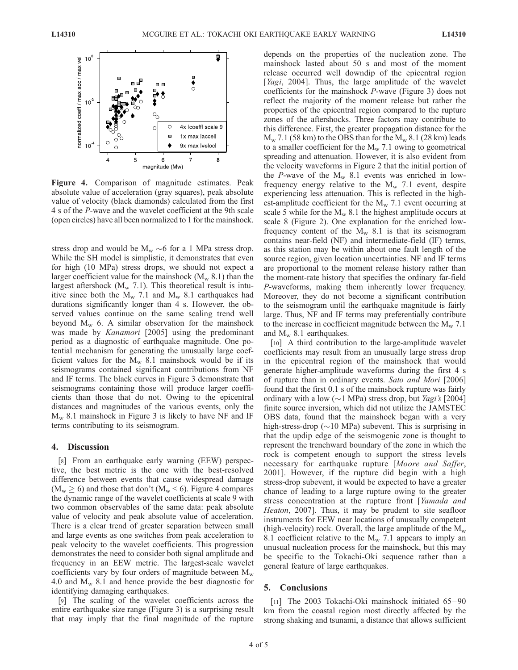

Figure 4. Comparison of magnitude estimates. Peak absolute value of acceleration (gray squares), peak absolute value of velocity (black diamonds) calculated from the first 4 s of the P-wave and the wavelet coefficient at the 9th scale (open circles) have all been normalized to 1 for the mainshock.

stress drop and would be  $M_w \sim 6$  for a 1 MPa stress drop. While the SH model is simplistic, it demonstrates that even for high (10 MPa) stress drops, we should not expect a larger coefficient value for the mainshock  $(M_w 8.1)$  than the largest aftershock ( $M_{\rm w}$  7.1). This theoretical result is intuitive since both the  $M_w$  7.1 and  $M_w$  8.1 earthquakes had durations significantly longer than 4 s. However, the observed values continue on the same scaling trend well beyond  $M_w$  6. A similar observation for the mainshock was made by *Kanamori* [2005] using the predominant period as a diagnostic of earthquake magnitude. One potential mechanism for generating the unusually large coefficient values for the  $M_w$  8.1 mainshock would be if its seismograms contained significant contributions from NF and IF terms. The black curves in Figure 3 demonstrate that seismograms containing those will produce larger coefficients than those that do not. Owing to the epicentral distances and magnitudes of the various events, only the  $M_w$  8.1 mainshock in Figure 3 is likely to have NF and IF terms contributing to its seismogram.

## 4. Discussion

[8] From an earthquake early warning (EEW) perspective, the best metric is the one with the best-resolved difference between events that cause widespread damage  $(M_w \ge 6)$  and those that don't  $(M_w \le 6)$ . Figure 4 compares the dynamic range of the wavelet coefficients at scale 9 with two common observables of the same data: peak absolute value of velocity and peak absolute value of acceleration. There is a clear trend of greater separation between small and large events as one switches from peak acceleration to peak velocity to the wavelet coefficients. This progression demonstrates the need to consider both signal amplitude and frequency in an EEW metric. The largest-scale wavelet coefficients vary by four orders of magnitude between  $M_{w}$ 4.0 and  $M_w$  8.1 and hence provide the best diagnostic for identifying damaging earthquakes.

[9] The scaling of the wavelet coefficients across the entire earthquake size range (Figure 3) is a surprising result that may imply that the final magnitude of the rupture depends on the properties of the nucleation zone. The mainshock lasted about 50 s and most of the moment release occurred well downdip of the epicentral region [*Yagi*, 2004]. Thus, the large amplitude of the wavelet coefficients for the mainshock P-wave (Figure 3) does not reflect the majority of the moment release but rather the properties of the epicentral region compared to the rupture zones of the aftershocks. Three factors may contribute to this difference. First, the greater propagation distance for the  $M_{\rm w}$  7.1 (58 km) to the OBS than for the  $M_{\rm w}$  8.1 (28 km) leads to a smaller coefficient for the  $M_{\rm w}$  7.1 owing to geometrical spreading and attenuation. However, it is also evident from the velocity waveforms in Figure 2 that the initial portion of the P-wave of the  $M_w$  8.1 events was enriched in lowfrequency energy relative to the  $M_{\rm w}$  7.1 event, despite experiencing less attenuation. This is reflected in the highest-amplitude coefficient for the  $M_{w}$  7.1 event occurring at scale 5 while for the  $M_w$  8.1 the highest amplitude occurs at scale 8 (Figure 2). One explanation for the enriched lowfrequency content of the  $M_w$  8.1 is that its seismogram contains near-field (NF) and intermediate-field (IF) terms, as this station may be within about one fault length of the source region, given location uncertainties. NF and IF terms are proportional to the moment release history rather than the moment-rate history that specifies the ordinary far-field P-waveforms, making them inherently lower frequency. Moreover, they do not become a significant contribution to the seismogram until the earthquake magnitude is fairly large. Thus, NF and IF terms may preferentially contribute to the increase in coefficient magnitude between the  $M_{\rm w}$  7.1 and  $M_{\rm w}$  8.1 earthquakes.

[10] A third contribution to the large-amplitude wavelet coefficients may result from an unusually large stress drop in the epicentral region of the mainshock that would generate higher-amplitude waveforms during the first 4 s of rupture than in ordinary events. Sato and Mori [2006] found that the first 0.1 s of the mainshock rupture was fairly ordinary with a low ( $\sim$ 1 MPa) stress drop, but *Yagi's* [2004] finite source inversion, which did not utilize the JAMSTEC OBS data, found that the mainshock began with a very high-stress-drop ( $\sim$ 10 MPa) subevent. This is surprising in that the updip edge of the seismogenic zone is thought to represent the trenchward boundary of the zone in which the rock is competent enough to support the stress levels necessary for earthquake rupture [Moore and Saffer, 2001]. However, if the rupture did begin with a high stress-drop subevent, it would be expected to have a greater chance of leading to a large rupture owing to the greater stress concentration at the rupture front [Yamada and Heaton, 2007]. Thus, it may be prudent to site seafloor instruments for EEW near locations of unusually competent (high-velocity) rock. Overall, the large amplitude of the  $M_{\rm w}$ 8.1 coefficient relative to the  $M_{\rm w}$  7.1 appears to imply an unusual nucleation process for the mainshock, but this may be specific to the Tokachi-Oki sequence rather than a general feature of large earthquakes.

#### 5. Conclusions

[11] The 2003 Tokachi-Oki mainshock initiated 65–90 km from the coastal region most directly affected by the strong shaking and tsunami, a distance that allows sufficient